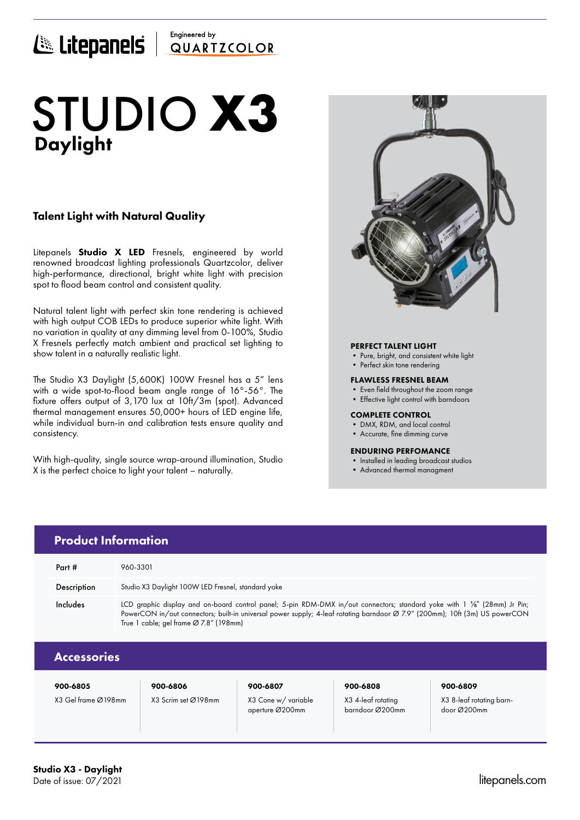## Engineered by E Litepanels QUARTICOLOR

# Daylight STUDIO **X3**

### Talent Light with Natural Quality

Litepanels **Studio X LED** Fresnels, engineered by world renowned broadcast lighting professionals Quartzcolor, deliver high-performance, directional, bright white light with precision spot to flood beam control and consistent quality.

Natural talent light with perfect skin tone rendering is achieved with high output COB LEDs to produce superior white light. With no variation in quality at any dimming level from 0-100%, Studio X Fresnels perfectly match ambient and practical set lighting to show talent in a naturally realistic light.

The Studio X3 Daylight (5,600K) 100W Fresnel has a 5" lens with a wide spot-to-flood beam angle range of 16°-56°. The fixture offers output of 3,170 lux at 10ft/3m (spot). Advanced thermal management ensures 50,000+ hours of LED engine life, while individual burn-in and calibration tests ensure quality and consistency.

With high-quality, single source wrap-around illumination, Studio X is the perfect choice to light your talent – naturally.



### PERFECT TALENT LIGHT

- Pure, bright, and consistent white light
- Perfect skin tone rendering

#### FLAWLESS FRESNEL BEAM

- Even field throughout the zoom range
- Effective light control with barndoors

#### COMPLETE CONTROL

barndoor Ø200mm

- DMX, RDM, and local control
- Accurate, fine dimming curve

### ENDURING PERFOMANCE

- Installed in leading broadcast studios
- Advanced thermal managment

| <b>Product Information</b> |                                                                                                                                                                                                                                                                                                    |                     |                    |                          |  |  |
|----------------------------|----------------------------------------------------------------------------------------------------------------------------------------------------------------------------------------------------------------------------------------------------------------------------------------------------|---------------------|--------------------|--------------------------|--|--|
| Part #                     | 960-3301                                                                                                                                                                                                                                                                                           |                     |                    |                          |  |  |
| Description                | Studio X3 Daylight 100W LED Fresnel, standard yoke                                                                                                                                                                                                                                                 |                     |                    |                          |  |  |
| Includes                   | LCD graphic display and on-board control panel; 5-pin RDM-DMX in/out connectors; standard yoke with 1 1/8" (28mm) Jr Pin;<br>PowerCON in/out connectors; built-in universal power supply; 4-leaf rotating barndoor Ø 7.9" (200mm); 10ft (3m) US powerCON<br>True 1 cable; gel frame Ø 7.8" (198mm) |                     |                    |                          |  |  |
| <b>Accessories</b>         |                                                                                                                                                                                                                                                                                                    |                     |                    |                          |  |  |
| 900-6805                   | 900-6806                                                                                                                                                                                                                                                                                           | 900-6807            | 900-6808           | 900-6809                 |  |  |
| X3 Gel frame Ø198mm        | X3 Scrim set Ø198mm                                                                                                                                                                                                                                                                                | X3 Cone w/ variable | X3 4-leaf rotating | X3 8-leaf rotating barn- |  |  |

aperture Ø200mm